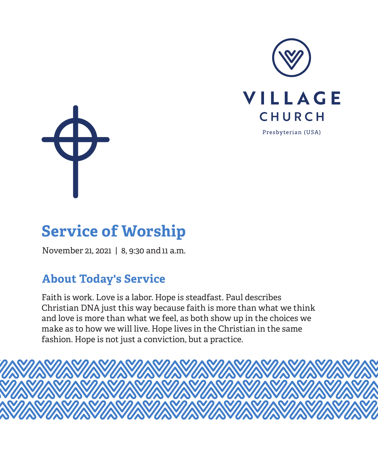



# **Service of Worship**

November 21, 2021 | 8, 9:30 and 11 a.m.

# **About Today's Service**

Faith is work. Love is a labor. Hope is steadfast. Paul describes Christian DNA just this way because faith is more than what we think and love is more than what we feel, as both show up in the choices we make as to how we will live. Hope lives in the Christian in the same fashion. Hope is not just a conviction, but a practice.

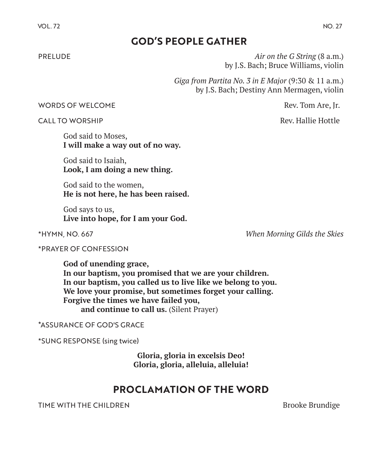# **GOD'S PEOPLE GATHER**

PRELUDE *Air on the G String* (8 a.m.) by J.S. Bach; Bruce Williams, violin

> *Giga from Partita No. 3 in E Major* (9:30 & 11 a.m.) by J.S. Bach; Destiny Ann Mermagen, violin

#### WORDS OF WELCOME **Rev. Tom Are, Jr.**  $\sim$  Rev. Tom Are, Jr.

CALL TO WORSHIP **Rev. Hallie Hottle** 

God said to Moses, **I will make a way out of no way.** 

God said to Isaiah, **Look, I am doing a new thing.** 

God said to the women, **He is not here, he has been raised.** 

God says to us, **Live into hope, for I am your God.**

\*HYMN, NO. 667 *When Morning Gilds the Skies*

\*PRAYER OF CONFESSION

**God of unending grace, In our baptism, you promised that we are your children. In our baptism, you called us to live like we belong to you. We love your promise, but sometimes forget your calling. Forgive the times we have failed you,** and continue to call us. *(Silent Prayer)* 

#### \*ASSURANCE OF GOD'S GRACE

\*SUNG RESPONSE (sing twice)

**Gloria, gloria in excelsis Deo! Gloria, gloria, alleluia, alleluia!**

### **PROCLAMATION OF THE WORD**

TIME WITH THE CHILDREN BROOKE BRUNDERS AND THE SERVICE SERVICE SERVICE SERVICE SERVICE SERVICE SERVICE SERVICE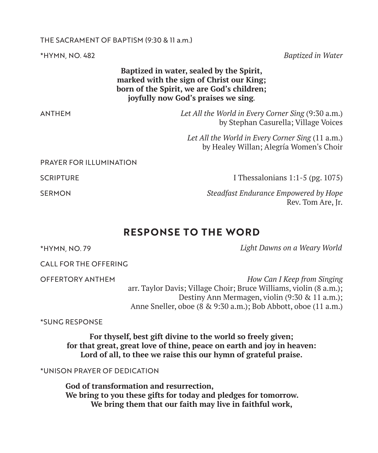#### THE SACRAMENT OF BAPTISM (9:30 & 11 a.m.)

\*HYMN, NO. 482 *Baptized in Water*

**Baptized in water, sealed by the Spirit, marked with the sign of Christ our King; born of the Spirit, we are God's children; joyfully now God's praises we sing***.*

ANTHEM *Let All the World in Every Corner Sing* (9:30 a.m.) by Stephan Casurella; Village Voices

> *Let All the World in Every Corner Sing* (11 a.m.) by Healey Willan; Alegría Women's Choir

PRAYER FOR ILLUMINATION

SCRIPTURE **I** Thessalonians 1:1-5 (pg. 1075)

SERMON *Steadfast Endurance Empowered by Hope* Rev. Tom Are, Jr.

# **RESPONSE TO THE WORD**

\*HYMN, NO. 79 *Light Dawns on a Weary World*

CALL FOR THE OFFERING

OFFERTORY ANTHEM *How Can I Keep from Singing* arr. Taylor Davis; Village Choir; Bruce Williams, violin (8 a.m.); Destiny Ann Mermagen, violin (9:30 & 11 a.m.); Anne Sneller, oboe (8 & 9:30 a.m.); Bob Abbott, oboe (11 a.m.)

\*SUNG RESPONSE

**For thyself, best gift divine to the world so freely given; for that great, great love of thine, peace on earth and joy in heaven: Lord of all, to thee we raise this our hymn of grateful praise.**

\*UNISON PRAYER OF DEDICATION

**God of transformation and resurrection, We bring to you these gifts for today and pledges for tomorrow. We bring them that our faith may live in faithful work,**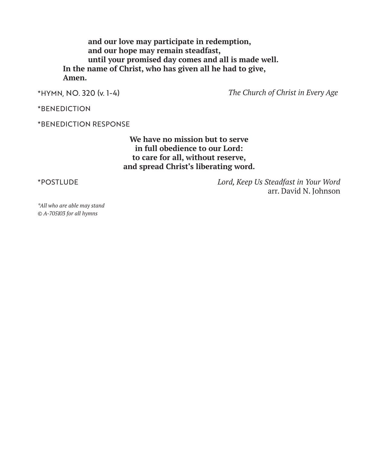**and our love may participate in redemption, and our hope may remain steadfast, until your promised day comes and all is made well. In the name of Christ, who has given all he had to give, Amen.**

\*HYMN, NO. 320 (v. 1-4) *The Church of Christ in Every Age*

\*BENEDICTION

\*BENEDICTION RESPONSE

**We have no mission but to serve in full obedience to our Lord: to care for all, without reserve, and spread Christ's liberating word.**

\*POSTLUDE *Lord, Keep Us Steadfast in Your Word* arr. David N. Johnson

*\*All who are able may stand © A-705103 for all hymns*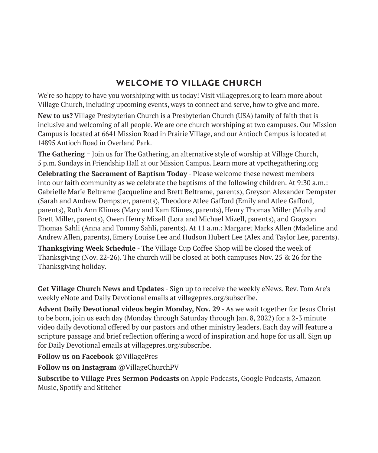# **WELCOME TO VILLAGE CHURCH**

We're so happy to have you worshiping with us today! Visit villagepres.org to learn more about Village Church, including upcoming events, ways to connect and serve, how to give and more.

**New to us?** Village Presbyterian Church is a Presbyterian Church (USA) family of faith that is inclusive and welcoming of all people. We are one church worshiping at two campuses. Our Mission Campus is located at 6641 Mission Road in Prairie Village, and our Antioch Campus is located at 14895 Antioch Road in Overland Park.

**The Gathering** – Join us for The Gathering, an alternative style of worship at Village Church, 5 p.m. Sundays in Friendship Hall at our Mission Campus. Learn more at vpcthegathering.org **Celebrating the Sacrament of Baptism Today** - Please welcome these newest members into our faith community as we celebrate the baptisms of the following children. At 9:30 a.m.: Gabrielle Marie Beltrame (Jacqueline and Brett Beltrame, parents), Greyson Alexander Dempster (Sarah and Andrew Dempster, parents), Theodore Atlee Gafford (Emily and Atlee Gafford, parents), Ruth Ann Klimes (Mary and Kam Klimes, parents), Henry Thomas Miller (Molly and Brett Miller, parents), Owen Henry Mizell (Lora and Michael Mizell, parents), and Grayson Thomas Sahli (Anna and Tommy Sahli, parents). At 11 a.m.: Margaret Marks Allen (Madeline and Andrew Allen, parents), Emery Louise Lee and Hudson Hubert Lee (Alex and Taylor Lee, parents).

**Thanksgiving Week Schedule** - The Village Cup Coffee Shop will be closed the week of Thanksgiving (Nov. 22-26). The church will be closed at both campuses Nov. 25 & 26 for the Thanksgiving holiday.

**Get Village Church News and Updates** - Sign up to receive the weekly eNews, Rev. Tom Are's weekly eNote and Daily Devotional emails at villagepres.org/subscribe.

**Advent Daily Devotional videos begin Monday, Nov. 29** - As we wait together for Jesus Christ to be born, join us each day (Monday through Saturday through Jan. 8, 2022) for a 2-3 minute video daily devotional offered by our pastors and other ministry leaders. Each day will feature a scripture passage and brief reflection offering a word of inspiration and hope for us all. Sign up for Daily Devotional emails at villagepres.org/subscribe.

**Follow us on Facebook** @VillagePres

**Follow us on Instagram** @VillageChurchPV

**Subscribe to Village Pres Sermon Podcasts** on Apple Podcasts, Google Podcasts, Amazon Music, Spotify and Stitcher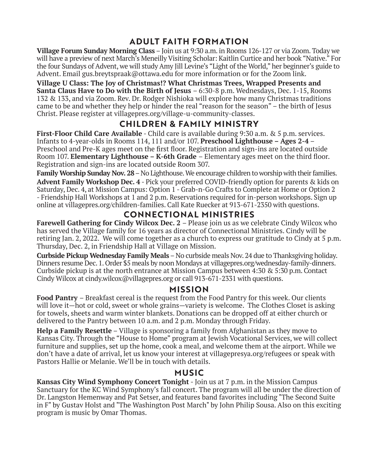# **ADULT FAITH FORMATION**

**Village Forum Sunday Morning Class** – Join us at 9:30 a.m. in Rooms 126-127 or via Zoom. Today we will have a preview of next March's Meneilly Visiting Scholar: Kaitlin Curtice and her book "Native." For the four Sundays of Advent, we will study Amy Jill Levine's "Light of the World," her beginner's guide to Advent. Email gus.breytspraak@ottawa.edu for more information or for the Zoom link.

**Village U Class: The Joy of Christmas!? What Christmas Trees, Wrapped Presents and Santa Claus Have to Do with the Birth of Jesus** – 6:30-8 p.m. Wednesdays, Dec. 1-15, Rooms 132 & 133, and via Zoom. Rev. Dr. Rodger Nishioka will explore how many Christmas traditions came to be and whether they help or hinder the real "reason for the season" – the birth of Jesus Christ. Please register at villagepres.org/village-u-community-classes.

# **CHILDREN & FAMILY MINISTRY**

**First-Floor Child Care Available** - Child care is available during 9:30 a.m. & 5 p.m. services. Infants to 4-year-olds in Rooms 114, 111 and/or 107. **Preschool Lighthouse – Ages 2-4** – Preschool and Pre-K ages meet on the first floor. Registration and sign-ins are located outside Room 107. **Elementary Lighthouse – K-6th Grade** – Elementary ages meet on the third floor. Registration and sign-ins are located outside Room 307.

**Family Worship Sunday Nov. 28** – No Lighthouse. We encourage children to worship with their families. **Advent Family Workshop Dec. 4** - Pick your preferred COVID-friendly option for parents & kids on Saturday, Dec. 4, at Mission Campus: Option 1 - Grab-n-Go Crafts to Complete at Home or Option 2 - Friendship Hall Workshops at 1 and 2 p.m. Reservations required for in-person workshops. Sign up online at villagepres.org/children-families. Call Kate Ruecker at 913-671-2350 with questions.

# **CONNECTIONAL MINISTRIES**

**Farewell Gathering for Cindy Wilcox Dec. 2** – Please join us as we celebrate Cindy Wilcox who has served the Village family for 16 years as director of Connectional Ministries. Cindy will be retiring Jan. 2, 2022. We will come together as a church to express our gratitude to Cindy at 5 p.m. Thursday, Dec. 2, in Friendship Hall at Village on Mission.

**Curbside Pickup Wednesday Family Meals**– No curbside meals Nov. 24 due to Thanksgiving holiday. Dinners resume Dec. 1. Order \$5 meals by noon Mondays at villagepres.org/wednesday-family-dinners. Curbside pickup is at the north entrance at Mission Campus between 4:30 & 5:30 p.m. Contact Cindy Wilcox at cindy.wilcox@villagepres.org or call  $913-671-2331$  with questions.

#### **MISSION**

**Food Pantry** – Breakfast cereal is the request from the Food Pantry for this week. Our clients will love it—hot or cold, sweet or whole grains—variety is welcome. The Clothes Closet is asking for towels, sheets and warm winter blankets. Donations can be dropped off at either church or delivered to the Pantry between 10 a.m. and 2 p.m. Monday through Friday.

**Help a Family Resettle** – Village is sponsoring a family from Afghanistan as they move to Kansas City. Through the "House to Home" program at Jewish Vocational Services, we will collect furniture and supplies, set up the home, cook a meal, and welcome them at the airport. While we don't have a date of arrival, let us know your interest at villagepresya.org/refugees or speak with Pastors Hallie or Melanie. We'll be in touch with details.

#### **MUSIC**

**Kansas City Wind Symphony Concert Tonight** - Join us at 7 p.m. in the Mission Campus Sanctuary for the KC Wind Symphony's fall concert. The program will all be under the direction of Dr. Langston Hemenway and Pat Setser, and features band favorites including "The Second Suite in F" by Gustav Holst and "The Washington Post March" by John Philip Sousa. Also on this exciting program is music by Omar Thomas.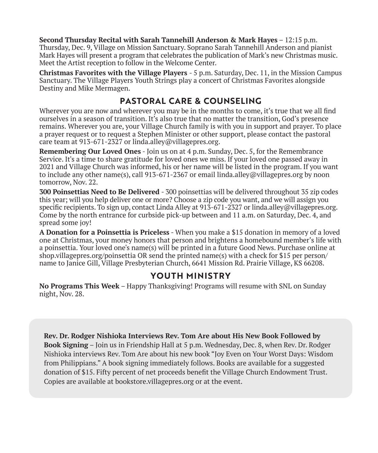**Second Thursday Recital with Sarah Tannehill Anderson & Mark Hayes** – 12:15 p.m. Thursday, Dec. 9, Village on Mission Sanctuary. Soprano Sarah Tannehill Anderson and pianist Mark Hayes will present a program that celebrates the publication of Mark's new Christmas music. Meet the Artist reception to follow in the Welcome Center.

**Christmas Favorites with the Village Players** - 5 p.m. Saturday, Dec. 11, in the Mission Campus Sanctuary. The Village Players Youth Strings play a concert of Christmas Favorites alongside Destiny and Mike Mermagen.

#### **PASTORAL CARE & COUNSELING**

Wherever you are now and wherever you may be in the months to come, it's true that we all find ourselves in a season of transition. It's also true that no matter the transition, God's presence remains. Wherever you are, your Village Church family is with you in support and prayer. To place a prayer request or to request a Stephen Minister or other support, please contact the pastoral care team at 913-671-2327 or linda.alley@villagepres.org.

**Remembering Our Loved Ones** - Join us on at 4 p.m. Sunday, Dec. 5, for the Remembrance Service. It's a time to share gratitude for loved ones we miss. If your loved one passed away in 2021 and Village Church was informed, his or her name will be listed in the program. If you want to include any other name(s), call 913-671-2367 or email linda.alley@villagepres.org by noon tomorrow, Nov. 22.

**300 Poinsettias Need to Be Delivered** - 300 poinsettias will be delivered throughout 35 zip codes this year; will you help deliver one or more? Choose a zip code you want, and we will assign you specific recipients. To sign up, contact Linda Alley at 913-671-2327 or linda.alley@villagepres.org. Come by the north entrance for curbside pick-up between and 11 a.m. on Saturday, Dec. 4, and spread some joy!

**A Donation for a Poinsettia is Priceless** - When you make a \$15 donation in memory of a loved one at Christmas, your money honors that person and brightens a homebound member's life with a poinsettia. Your loved one's name(s) will be printed in a future Good News. Purchase online at shop.villagepres.org/poinsettia OR send the printed name(s) with a check for \$15 per person/ name to Janice Gill, Village Presbyterian Church, 6641 Mission Rd. Prairie Village, KS 66208.

#### **YOUTH MINISTRY**

**No Programs This Week** – Happy Thanksgiving! Programs will resume with SNL on Sunday night, Nov. 28.

**Rev. Dr. Rodger Nishioka Interviews Rev. Tom Are about His New Book Followed by Book Signing** – Join us in Friendship Hall at 5 p.m. Wednesday, Dec. 8, when Rev. Dr. Rodger Nishioka interviews Rev. Tom Are about his new book "Joy Even on Your Worst Days: Wisdom from Philippians." A book signing immediately follows. Books are available for a suggested donation of \$15. Fifty percent of net proceeds benefit the Village Church Endowment Trust. Copies are available at bookstore.villagepres.org or at the event.